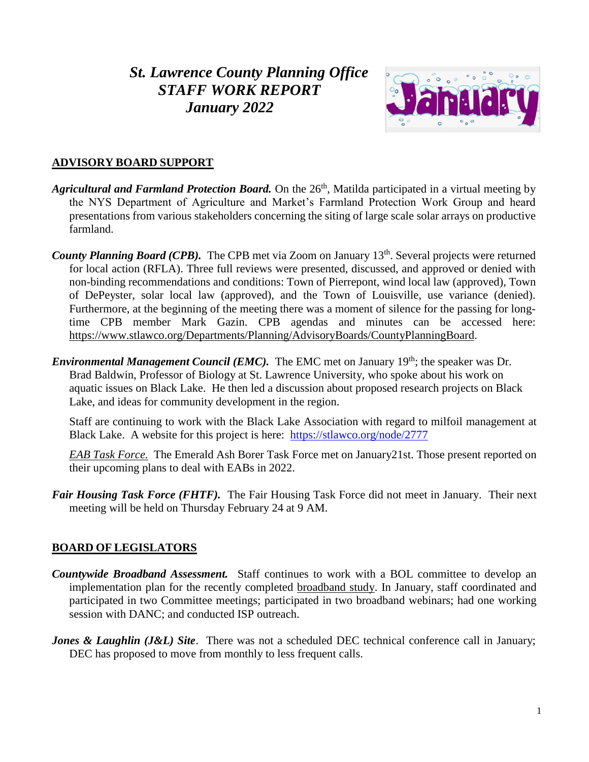# *St. Lawrence County Planning Office STAFF WORK REPORT January 2022*



### **ADVISORY BOARD SUPPORT**

- *Agricultural and Farmland Protection Board*. On the 26<sup>th</sup>, Matilda participated in a virtual meeting by the NYS Department of Agriculture and Market's Farmland Protection Work Group and heard presentations from various stakeholders concerning the siting of large scale solar arrays on productive farmland.
- County Planning Board (CPB). The CPB met via Zoom on January 13<sup>th</sup>. Several projects were returned for local action (RFLA). Three full reviews were presented, discussed, and approved or denied with non-binding recommendations and conditions: Town of Pierrepont, wind local law (approved), Town of DePeyster, solar local law (approved), and the Town of Louisville, use variance (denied). Furthermore, at the beginning of the meeting there was a moment of silence for the passing for longtime CPB member Mark Gazin. CPB agendas and minutes can be accessed here: [https://www.stlawco.org/Departments/Planning/AdvisoryBoards/CountyPlanningBoard.](https://www.stlawco.org/Departments/Planning/AdvisoryBoards/CountyPlanningBoard)
- *Environmental Management Council (EMC).* The EMC met on January 19<sup>th</sup>; the speaker was Dr. Brad Baldwin, Professor of Biology at St. Lawrence University, who spoke about his work on aquatic issues on Black Lake. He then led a discussion about proposed research projects on Black Lake, and ideas for community development in the region.

Staff are continuing to work with the Black Lake Association with regard to milfoil management at Black Lake. A website for this project is here: <https://stlawco.org/node/2777>

*EAB Task Force.* The Emerald Ash Borer Task Force met on January21st. Those present reported on their upcoming plans to deal with EABs in 2022.

*Fair Housing Task Force (FHTF).* The Fair Housing Task Force did not meet in January. Their next meeting will be held on Thursday February 24 at 9 AM.

### **BOARD OF LEGISLATORS**

- *Countywide Broadband Assessment.* Staff continues to work with a BOL committee to develop an implementation plan for the recently completed [broadband study.](https://stlawco.org/Broadband-Study) In January, staff coordinated and participated in two Committee meetings; participated in two broadband webinars; had one working session with DANC; and conducted ISP outreach.
- *Jones & Laughlin (J&L) Site.* There was not a scheduled DEC technical conference call in January; DEC has proposed to move from monthly to less frequent calls.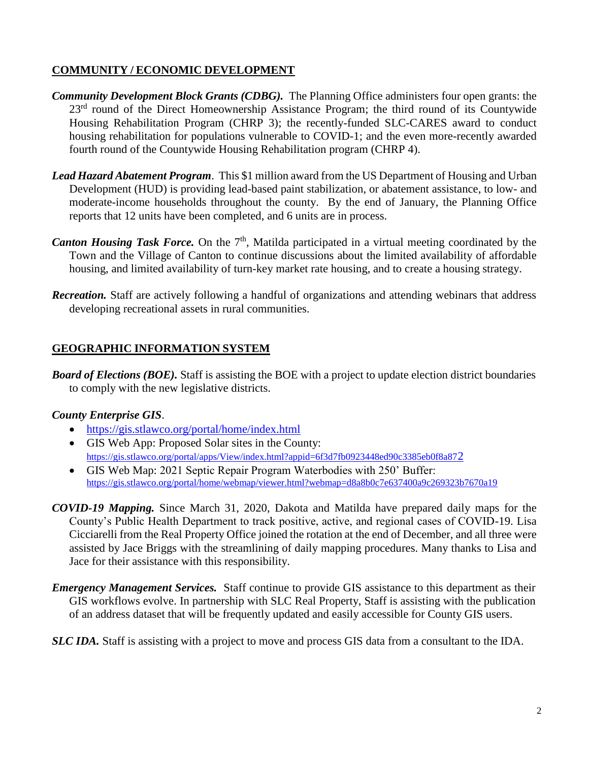### **COMMUNITY / ECONOMIC DEVELOPMENT**

- *Community Development Block Grants (CDBG).* The Planning Office administers four open grants: the 23<sup>rd</sup> round of the Direct Homeownership Assistance Program; the third round of its Countywide Housing Rehabilitation Program (CHRP 3); the recently-funded SLC-CARES award to conduct housing rehabilitation for populations vulnerable to COVID-1; and the even more-recently awarded fourth round of the Countywide Housing Rehabilitation program (CHRP 4).
- *Lead Hazard Abatement Program*. This \$1 million award from the US Department of Housing and Urban Development (HUD) is providing lead-based paint stabilization, or abatement assistance, to low- and moderate-income households throughout the county. By the end of January, the Planning Office reports that 12 units have been completed, and 6 units are in process.
- Canton Housing Task Force. On the 7<sup>th</sup>, Matilda participated in a virtual meeting coordinated by the Town and the Village of Canton to continue discussions about the limited availability of affordable housing, and limited availability of turn-key market rate housing, and to create a housing strategy.
- *Recreation.* Staff are actively following a handful of organizations and attending webinars that address developing recreational assets in rural communities.

## **GEOGRAPHIC INFORMATION SYSTEM**

*Board of Elections (BOE).* Staff is assisting the BOE with a project to update election district boundaries to comply with the new legislative districts.

### *County Enterprise GIS*.

- <https://gis.stlawco.org/portal/home/index.html>
- GIS Web App: Proposed Solar sites in the County: [https://gis.stlawco.org/portal/apps/View/index.html?appid=6f3d7fb0923448ed90c3385eb0f8a87](https://gis.stlawco.org/portal/apps/View/index.html?appid=6f3d7fb0923448ed90c3385eb0f8a872)2
- GIS Web Map: 2021 Septic Repair Program Waterbodies with 250' Buffer: <https://gis.stlawco.org/portal/home/webmap/viewer.html?webmap=d8a8b0c7e637400a9c269323b7670a19>
- *COVID-19 Mapping.* Since March 31, 2020, Dakota and Matilda have prepared daily maps for the County's Public Health Department to track positive, active, and regional cases of COVID-19. Lisa Cicciarelli from the Real Property Office joined the rotation at the end of December, and all three were assisted by Jace Briggs with the streamlining of daily mapping procedures. Many thanks to Lisa and Jace for their assistance with this responsibility.
- *Emergency Management Services.* Staff continue to provide GIS assistance to this department as their GIS workflows evolve. In partnership with SLC Real Property, Staff is assisting with the publication of an address dataset that will be frequently updated and easily accessible for County GIS users.

*SLC IDA.* Staff is assisting with a project to move and process GIS data from a consultant to the IDA.